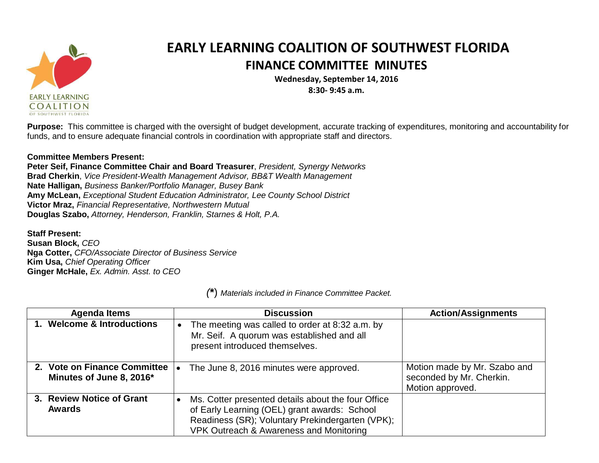

## **EARLY LEARNING COALITION OF SOUTHWEST FLORIDA FINANCE COMMITTEE MINUTES**

**Wednesday, September 14, 2016**

**8:30- 9:45 a.m.**

**Purpose:** This committee is charged with the oversight of budget development, accurate tracking of expenditures, monitoring and accountability for funds, and to ensure adequate financial controls in coordination with appropriate staff and directors.

## **Committee Members Present:**

**Peter Seif, Finance Committee Chair and Board Treasurer**, *President, Synergy Networks* **Brad Cherkin**, *Vice President-Wealth Management Advisor, BB&T Wealth Management* **Nate Halligan,** *Business Banker/Portfolio Manager, Busey Bank* **Amy McLean,** *Exceptional Student Education Administrator, Lee County School District* **Victor Mraz,** *Financial Representative, Northwestern Mutual* **Douglas Szabo,** *Attorney, Henderson, Franklin, Starnes & Holt, P.A.*

**Staff Present: Susan Block,** *CEO* **Nga Cotter,** *CFO/Associate Director of Business Service* **Kim Usa,** *Chief Operating Officer* **Ginger McHale,** *Ex. Admin. Asst. to CEO*

**Agenda Items Discussion Action/Assignments 1. Welcome & Introductions**  $\bullet$  The meeting was called to order at 8:32 a.m. by Mr. Seif. A quorum was established and all present introduced themselves. **2. Vote on Finance Committee Minutes of June 8, 2016\*** • The June 8, 2016 minutes were approved.  $\blacksquare$  Motion made by Mr. Szabo and seconded by Mr. Cherkin. Motion approved. **3. Review Notice of Grant Awards** Ms. Cotter presented details about the four Office of Early Learning (OEL) grant awards: School Readiness (SR); Voluntary Prekindergarten (VPK); VPK Outreach & Awareness and Monitoring

*(***\***) *Materials included in Finance Committee Packet.*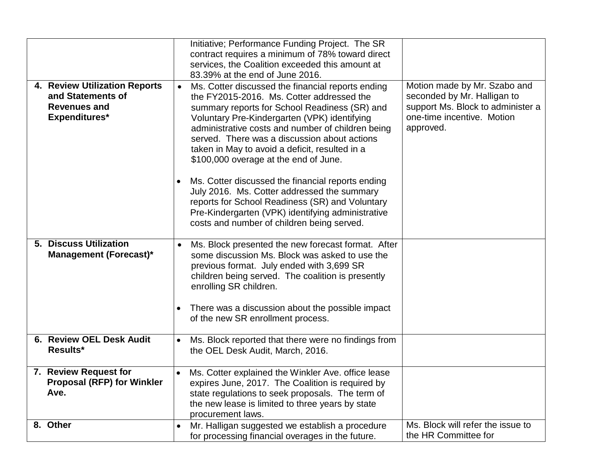|                                           | Initiative; Performance Funding Project. The SR                                                             |                                   |
|-------------------------------------------|-------------------------------------------------------------------------------------------------------------|-----------------------------------|
|                                           | contract requires a minimum of 78% toward direct                                                            |                                   |
|                                           | services, the Coalition exceeded this amount at<br>83.39% at the end of June 2016.                          |                                   |
| 4. Review Utilization Reports             |                                                                                                             | Motion made by Mr. Szabo and      |
| and Statements of                         | Ms. Cotter discussed the financial reports ending<br>$\bullet$<br>the FY2015-2016. Ms. Cotter addressed the | seconded by Mr. Halligan to       |
| <b>Revenues and</b>                       | summary reports for School Readiness (SR) and                                                               | support Ms. Block to administer a |
| Expenditures*                             | Voluntary Pre-Kindergarten (VPK) identifying                                                                | one-time incentive. Motion        |
|                                           | administrative costs and number of children being                                                           | approved.                         |
|                                           | served. There was a discussion about actions                                                                |                                   |
|                                           | taken in May to avoid a deficit, resulted in a                                                              |                                   |
|                                           | \$100,000 overage at the end of June.                                                                       |                                   |
|                                           |                                                                                                             |                                   |
|                                           | Ms. Cotter discussed the financial reports ending<br>July 2016. Ms. Cotter addressed the summary            |                                   |
|                                           | reports for School Readiness (SR) and Voluntary                                                             |                                   |
|                                           | Pre-Kindergarten (VPK) identifying administrative                                                           |                                   |
|                                           | costs and number of children being served.                                                                  |                                   |
|                                           |                                                                                                             |                                   |
| 5. Discuss Utilization                    | Ms. Block presented the new forecast format. After                                                          |                                   |
| <b>Management (Forecast)*</b>             | some discussion Ms. Block was asked to use the                                                              |                                   |
|                                           | previous format. July ended with 3,699 SR                                                                   |                                   |
|                                           | children being served. The coalition is presently                                                           |                                   |
|                                           | enrolling SR children.                                                                                      |                                   |
|                                           |                                                                                                             |                                   |
|                                           | There was a discussion about the possible impact<br>of the new SR enrollment process.                       |                                   |
|                                           |                                                                                                             |                                   |
| 6. Review OEL Desk Audit                  | Ms. Block reported that there were no findings from                                                         |                                   |
| <b>Results*</b>                           | the OEL Desk Audit, March, 2016.                                                                            |                                   |
|                                           |                                                                                                             |                                   |
| 7. Review Request for                     | Ms. Cotter explained the Winkler Ave. office lease                                                          |                                   |
| <b>Proposal (RFP) for Winkler</b><br>Ave. | expires June, 2017. The Coalition is required by                                                            |                                   |
|                                           | state regulations to seek proposals. The term of<br>the new lease is limited to three years by state        |                                   |
|                                           | procurement laws.                                                                                           |                                   |
| 8. Other                                  | Mr. Halligan suggested we establish a procedure                                                             | Ms. Block will refer the issue to |
|                                           | for processing financial overages in the future.                                                            | the HR Committee for              |